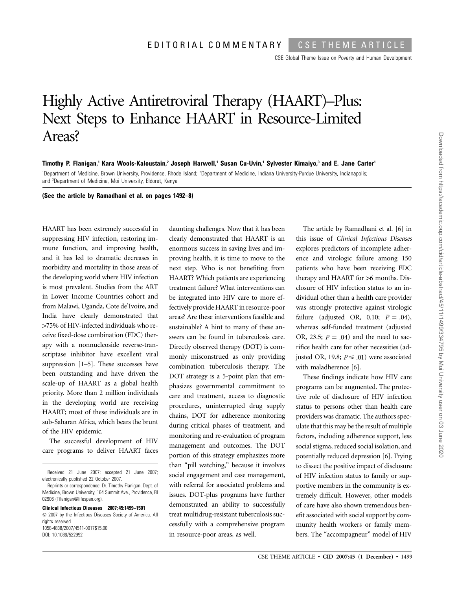CSE Global Theme Issue on Poverty and Human Development

## Highly Active Antiretroviral Therapy (HAART)–Plus: Next Steps to Enhance HAART in Resource-Limited Areas?

**Timothy P. Flanigan,1 Kara Wools-Kaloustain,2 Joseph Harwell,1 Susan Cu-Uvin,1 Sylvester Kimaiyo,3 and E. Jane Carter1** <sup>1</sup>Department of Medicine, Brown University, Providence, Rhode Island; <sup>2</sup>Department of Medicine, Indiana University-Purdue University, Indianapolis; and <sup>3</sup>Department of Medicine, Moi University, Eldoret, Kenya

> daunting challenges. Now that it has been clearly demonstrated that HAART is an

**(See the article by Ramadhani et al. on pages 1492–8)**

HAART has been extremely successful in suppressing HIV infection, restoring immune function, and improving health, and it has led to dramatic decreases in morbidity and mortality in those areas of the developing world where HIV infection is most prevalent. Studies from the ART in Lower Income Countries cohort and from Malawi, Uganda, Cote de'Ivoire, and India have clearly demonstrated that 175% of HIV-infected individuals who receive fixed-dose combination (FDC) therapy with a nonnucleoside reverse-transcriptase inhibitor have excellent viral suppression [1–5]. These successes have been outstanding and have driven the scale-up of HAART as a global health priority. More than 2 million individuals in the developing world are receiving HAART; most of these individuals are in sub-Saharan Africa, which bears the brunt of the HIV epidemic.

The successful development of HIV care programs to deliver HAART faces

**Clinical Infectious Diseases 2007; 45:1499–1501**  $\odot$  2007 by the Infectious Diseases Society of America. All rights reserved. 1058-4838/2007/4511-0017\$15.00 DOI: 10.1086/522992

enormous success in saving lives and improving health, it is time to move to the next step. Who is not benefiting from HAART? Which patients are experiencing treatment failure? What interventions can be integrated into HIV care to more effectively provide HAART in resource-poor areas? Are these interventions feasible and sustainable? A hint to many of these answers can be found in tuberculosis care. Directly observed therapy (DOT) is commonly misconstrued as only providing combination tuberculosis therapy. The DOT strategy is a 5-point plan that emphasizes governmental commitment to care and treatment, access to diagnostic procedures, uninterrupted drug supply chains, DOT for adherence monitoring during critical phases of treatment, and monitoring and re-evaluation of program management and outcomes. The DOT portion of this strategy emphasizes more than "pill watching," because it involves social engagement and case management, with referral for associated problems and issues. DOT-plus programs have further demonstrated an ability to successfully treat multidrug-resistant tuberculosis successfully with a comprehensive program in resource-poor areas, as well.

The article by Ramadhani et al. [6] in this issue of *Clinical Infectious Diseases* explores predictors of incomplete adherence and virologic failure among 150 patients who have been receiving FDC therapy and HAART for  $>6$  months. Disclosure of HIV infection status to an individual other than a health care provider was strongly protective against virologic failure (adjusted OR,  $0.10;$   $P = .04$ ), whereas self-funded treatment (adjusted OR, 23.5;  $P = .04$  and the need to sacrifice health care for other necessities (adjusted OR, 19.8;  $P \leq .01$ ) were associated with maladherence [6].

These findings indicate how HIV care programs can be augmented. The protective role of disclosure of HIV infection status to persons other than health care providers was dramatic. The authors speculate that this may be the result of multiple factors, including adherence support, less social stigma, reduced social isolation, and potentially reduced depression [6]. Trying to dissect the positive impact of disclosure of HIV infection status to family or supportive members in the community is extremely difficult. However, other models of care have also shown tremendous benefit associated with social support by community health workers or family members. The "accompagneur" model of HIV

Received 21 June 2007; accepted 21 June 2007; electronically published 22 October 2007.

Reprints or correspondence: Dr. Timothy Flanigan, Dept. of Medicine, Brown University, 164 Summit Ave., Providence, RI 02906 (Tflanigan@lifespan.org).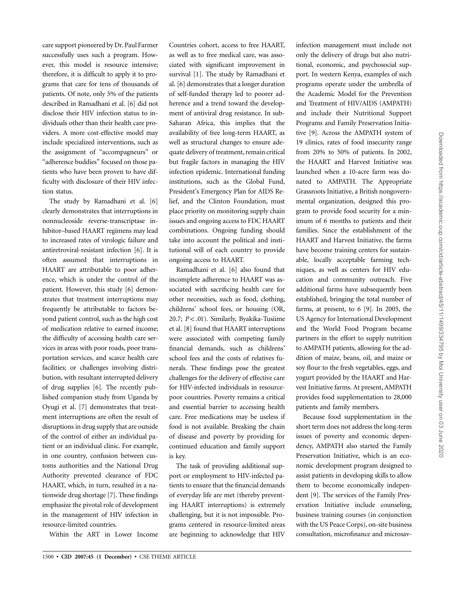care support pioneered by Dr. Paul Farmer successfully uses such a program. However, this model is resource intensive; therefore, it is difficult to apply it to programs that care for tens of thousands of patients. Of note, only 5% of the patients described in Ramadhani et al. [6] did not disclose their HIV infection status to individuals other than their health care providers. A more cost-effective model may include specialized interventions, such as the assignment of "accompagneurs" or "adherence buddies" focused on those patients who have been proven to have difficulty with disclosure of their HIV infection status.

The study by Ramadhani et al. [6] clearly demonstrates that interruptions in nonnucleoside reverse-transcriptase inhibitor–based HAART regimens may lead to increased rates of virologic failure and antiretroviral-resistant infection [6]. It is often assumed that interruptions in HAART are attributable to poor adherence, which is under the control of the patient. However, this study [6] demonstrates that treatment interruptions may frequently be attributable to factors beyond patient control, such as the high cost of medication relative to earned income; the difficulty of accessing health care services in areas with poor roads, poor transportation services, and scarce health care facilities; or challenges involving distribution, with resultant interrupted delivery of drug supplies [6]. The recently published companion study from Uganda by Oyugi et al. [7] demonstrates that treatment interruptions are often the result of disruptions in drug supply that are outside of the control of either an individual patient or an individual clinic. For example, in one country, confusion between customs authorities and the National Drug Authority prevented clearance of FDC HAART, which, in turn, resulted in a nationwide drug shortage [7]. These findings emphasize the pivotal role of development in the management of HIV infection in resource-limited countries.

Within the ART in Lower Income

Countries cohort, access to free HAART, as well as to free medical care, was associated with significant improvement in survival [1]. The study by Ramadhani et al. [6] demonstrates that a longer duration of self-funded therapy led to poorer adherence and a trend toward the development of antiviral drug resistance. In sub-Saharan Africa, this implies that the availability of free long-term HAART, as well as structural changes to ensure adequate delivery of treatment, remain critical but fragile factors in managing the HIV infection epidemic. International funding institutions, such as the Global Fund, President's Emergency Plan for AIDS Relief, and the Clinton Foundation, must place priority on monitoring supply chain issues and ongoing access to FDC HAART combinations. Ongoing funding should take into account the political and institutional will of each country to provide ongoing access to HAART.

Ramadhani et al. [6] also found that incomplete adherence to HAART was associated with sacrificing health care for other necessities, such as food, clothing, childrens' school fees, or housing (OR, 20.7;  $P < .01$ ). Similarly, Byakika-Tusiime et al. [8] found that HAART interruptions were associated with competing family financial demands, such as childrens' school fees and the costs of relatives funerals. These findings pose the greatest challenges for the delivery of effective care for HIV-infected individuals in resourcepoor countries. Poverty remains a critical and essential barrier to accessing health care. Free medications may be useless if food is not available. Breaking the chain of disease and poverty by providing for continued education and family support is key.

The task of providing additional support or employment to HIV-infected patients to ensure that the financial demands of everyday life are met (thereby preventing HAART interruptions) is extremely challenging, but it is not impossible. Programs centered in resource-limited areas are beginning to acknowledge that HIV

infection management must include not only the delivery of drugs but also nutritional, economic, and psychosocial support. In western Kenya, examples of such programs operate under the umbrella of the Academic Model for the Prevention and Treatment of HIV/AIDS (AMPATH) and include their Nutritional Support Programs and Family Preservation Initiative [9]. Across the AMPATH system of 19 clinics, rates of food insecurity range from 20% to 50% of patients. In 2002, the HAART and Harvest Initiative was launched when a 10-acre farm was donated to AMPATH. The Appropriate Grassroots Initiative, a British nongovernmental organization, designed this program to provide food security for a minimum of 6 months to patients and their families. Since the establishment of the HAART and Harvest Initiative, the farms have become training centers for sustainable, locally acceptable farming techniques, as well as centers for HIV education and community outreach. Five additional farms have subsequently been established, bringing the total number of farms, at present, to  $6$  [9]. In 2005, the US Agency for International Development and the World Food Program became partners in the effort to supply nutrition to AMPATH patients, allowing for the addition of maize, beans, oil, and maize or soy flour to the fresh vegetables, eggs, and yogurt provided by the HAART and Harvest Initiative farms. At present, AMPATH provides food supplementation to 28,000 patients and family members.

Because food supplementation in the short term does not address the long-term issues of poverty and economic dependency, AMPATH also started the Family Preservation Initiative, which is an economic development program designed to assist patients in developing skills to allow them to become economically independent [9]. The services of the Family Preservation Initiative include counseling, business training courses (in conjunction with the US Peace Corps), on-site business consultation, microfinance and microsav-